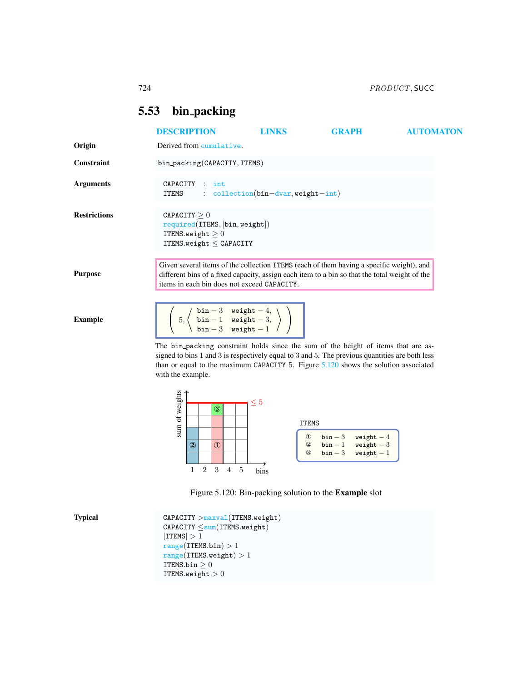## <span id="page-0-0"></span>5.53 bin packing

|                     | <b>DESCRIPTION</b>                                                                                                                                                                                                                       | <b>LINKS</b>                                                                | GRAPH | <b>AUTOMATON</b> |
|---------------------|------------------------------------------------------------------------------------------------------------------------------------------------------------------------------------------------------------------------------------------|-----------------------------------------------------------------------------|-------|------------------|
| Origin              | Derived from cumulative.                                                                                                                                                                                                                 |                                                                             |       |                  |
| Constraint          | bin_packing(CAPACITY, ITEMS)                                                                                                                                                                                                             |                                                                             |       |                  |
| <b>Arguments</b>    | CAPACITY : int<br><b>ITEMS</b>                                                                                                                                                                                                           | : $\text{collection}( \text{bin}- \text{dvar}, \text{weight} - \text{int})$ |       |                  |
| <b>Restrictions</b> | CAPACITY > 0<br>required(ITERS, [bin, weight])<br>ITEMS.weight $>0$<br>ITEMS.weight $\leq$ CAPACITY                                                                                                                                      |                                                                             |       |                  |
| <b>Purpose</b>      | Given several items of the collection ITEMS (each of them having a specific weight), and<br>different bins of a fixed capacity, assign each item to a bin so that the total weight of the<br>items in each bin does not exceed CAPACITY. |                                                                             |       |                  |
| <b>Example</b>      | $\left(5, \left\langle \begin{array}{cc} \text{bin} -3 & \text{weight} -4, \\ \text{bin} -1 & \text{weight} -3, \\ \text{bin} -3 & \text{weight} -1 \end{array} \right\rangle$                                                           |                                                                             |       |                  |
|                     | The bin packing constraint holds since the sum of the height of items that are as-<br>signed to bins 1 and 3 is respectively equal to 3 and 5. The previous quantities are both less                                                     |                                                                             |       |                  |

signed to bins 1 and 3 is respectively equal to 3 and 5. The previous quantities are both less than or equal to the maximum CAPACITY 5. Figure [5.120](#page-0-1) shows the solution associated with the example.



<span id="page-0-1"></span>

Typical CAPACITY >maxval(ITEMS.weight)  $\texttt{CAPACITY} \leq \texttt{sum}(\texttt{TFMS}.\texttt{weight})$  $|{\tt ITEMS}| > 1$  $range(ITEMS.bin) > 1$  $range(ITEMS.weight) > 1$ ITEMS.bin  $\geq 0$ ITEMS.weight  $> 0$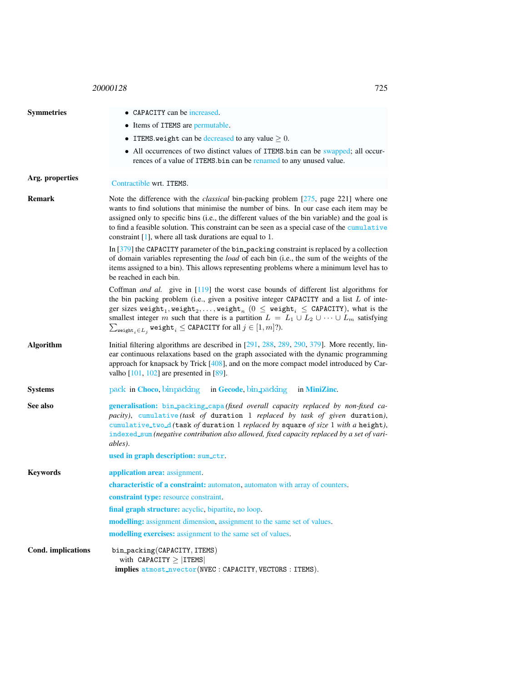## <sup>20000128</sup> 725

<span id="page-1-0"></span>

| <b>Symmetries</b>  | • CAPACITY can be increased.                                                                                                                                                                                                                                                                                                                                                                                                                                                                                                                         |  |  |  |
|--------------------|------------------------------------------------------------------------------------------------------------------------------------------------------------------------------------------------------------------------------------------------------------------------------------------------------------------------------------------------------------------------------------------------------------------------------------------------------------------------------------------------------------------------------------------------------|--|--|--|
|                    | • Items of ITEMS are permutable.                                                                                                                                                                                                                                                                                                                                                                                                                                                                                                                     |  |  |  |
|                    | • ITEMS weight can be decreased to any value $\geq 0$ .                                                                                                                                                                                                                                                                                                                                                                                                                                                                                              |  |  |  |
|                    | • All occurrences of two distinct values of ITEMS. bin can be swapped; all occur-<br>rences of a value of ITEMS bin can be renamed to any unused value.                                                                                                                                                                                                                                                                                                                                                                                              |  |  |  |
| Arg. properties    | Contractible wrt. ITEMS.                                                                                                                                                                                                                                                                                                                                                                                                                                                                                                                             |  |  |  |
| Remark             | Note the difference with the <i>classical</i> bin-packing problem [275, page 221] where one<br>wants to find solutions that minimise the number of bins. In our case each item may be<br>assigned only to specific bins (i.e., the different values of the bin variable) and the goal is<br>to find a feasible solution. This constraint can be seen as a special case of the cumulative<br>constraint $[1]$ , where all task durations are equal to 1.                                                                                              |  |  |  |
|                    | In [379] the CAPACITY parameter of the bin_packing constraint is replaced by a collection<br>of domain variables representing the load of each bin (i.e., the sum of the weights of the<br>items assigned to a bin). This allows representing problems where a minimum level has to<br>be reached in each bin.                                                                                                                                                                                                                                       |  |  |  |
|                    | Coffman <i>and al.</i> give in $[119]$ the worst case bounds of different list algorithms for<br>the bin packing problem (i.e., given a positive integer CAPACITY and a list $L$ of inte-<br>ger sizes weight <sub>1</sub> , weight <sub>2</sub> ,, weight <sub>n</sub> $(0 \leq$ weight <sub>i</sub> $\leq$ CAPACITY), what is the<br>smallest integer m such that there is a partition $L = L_1 \cup L_2 \cup \cdots \cup L_m$ satisfying<br>$\sum_{\text{weight}_{i} \in L_{i}} \text{weight}_{i} \le \text{CAPACITY}$ for all $j \in [1, m]$ ?). |  |  |  |
| <b>Algorithm</b>   | Initial filtering algorithms are described in $[291, 288, 289, 290, 379]$ . More recently, lin-<br>ear continuous relaxations based on the graph associated with the dynamic programming<br>approach for knapsack by Trick $[408]$ , and on the more compact model introduced by Car-<br>valho $[101, 102]$ are presented in $[89]$ .                                                                                                                                                                                                                |  |  |  |
| <b>Systems</b>     | pack in Choco, binpacking in Gecode, bin packing<br>in MiniZinc.                                                                                                                                                                                                                                                                                                                                                                                                                                                                                     |  |  |  |
| See also           | generalisation: bin_packing_capa(fixed overall capacity replaced by non-fixed ca-<br>pacity), cumulative (task of duration 1 replaced by task of given duration),<br>cumulative_two_d(task of duration 1 replaced by square of size 1 with a height),<br>indexed_sum (negative contribution also allowed, fixed capacity replaced by a set of vari-<br>ables).                                                                                                                                                                                       |  |  |  |
|                    | used in graph description: sum_ctr.                                                                                                                                                                                                                                                                                                                                                                                                                                                                                                                  |  |  |  |
| <b>Keywords</b>    | application area: assignment.                                                                                                                                                                                                                                                                                                                                                                                                                                                                                                                        |  |  |  |
|                    | <b>characteristic of a constraint:</b> automaton, automaton with array of counters.                                                                                                                                                                                                                                                                                                                                                                                                                                                                  |  |  |  |
|                    | constraint type: resource constraint.                                                                                                                                                                                                                                                                                                                                                                                                                                                                                                                |  |  |  |
|                    | final graph structure: acyclic, bipartite, no loop.                                                                                                                                                                                                                                                                                                                                                                                                                                                                                                  |  |  |  |
|                    | modelling: assignment dimension, assignment to the same set of values.                                                                                                                                                                                                                                                                                                                                                                                                                                                                               |  |  |  |
|                    | modelling exercises: assignment to the same set of values.                                                                                                                                                                                                                                                                                                                                                                                                                                                                                           |  |  |  |
| Cond. implications | bin_packing(CAPACITY, ITEMS)<br>with CAPACITY $\geq$   ITEMS <br><b>implies</b> atmost_nvector(NVEC: CAPACITY, VECTORS: ITEMS).                                                                                                                                                                                                                                                                                                                                                                                                                      |  |  |  |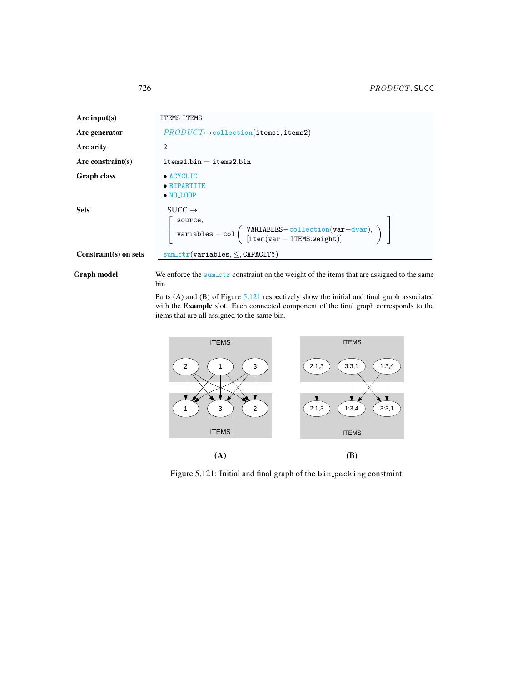| Arc input(s)          | <b>ITEMS ITEMS</b>                                                                                                                                                                                                                                                                                         |
|-----------------------|------------------------------------------------------------------------------------------------------------------------------------------------------------------------------------------------------------------------------------------------------------------------------------------------------------|
| Arc generator         | $PRODUCT \rightarrow collection(\text{items1}, \text{items2})$                                                                                                                                                                                                                                             |
| Arc arity             | $\mathcal{D}_{\mathcal{L}}$                                                                                                                                                                                                                                                                                |
| Arc constraint(s)     | $items1.bin = items2.bin$                                                                                                                                                                                                                                                                                  |
| <b>Graph class</b>    | $\bullet$ ACYCLIC<br>• BIPARTITE<br>$\bullet$ NO LOOP                                                                                                                                                                                                                                                      |
| <b>Sets</b>           | $Succ \mapsto$<br>$\left[ \begin{array}{l} \mathtt{source},\\ \mathtt{variables}-\mathtt{col}\left( \begin{array}{l} \mathtt{VARIABLES}-\mathtt{collection}(\mathtt{var}-\mathtt{dvar}),\\ \left[ \mathtt{item}(\mathtt{var}-\mathtt{ITEMS}.\mathtt{weight}) \right]\end{array}\right)\end{array} \right]$ |
| Constraint(s) on sets | $sum_c tr(variable s, <, CAPACITY)$                                                                                                                                                                                                                                                                        |

Graph model We enforce the sum\_ctr constraint on the weight of the items that are assigned to the same bin.

> Parts (A) and (B) of Figure [5.121](#page-2-1) respectively show the initial and final graph associated with the Example slot. Each connected component of the final graph corresponds to the items that are all assigned to the same bin.



<span id="page-2-1"></span>Figure 5.121: Initial and final graph of the bin packing constraint

<span id="page-2-0"></span>